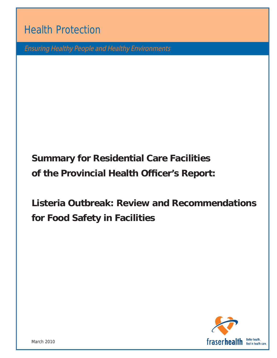Health Protection

Ensuring Healthy People and Healthy Environments

# **Summary for Residential Care Facilities of the Provincial Health Officer's Report:**

**Listeria Outbreak: Review and Recommendations for Food Safety in Facilities**

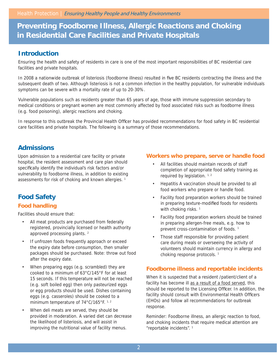## **Preventing Foodborne Illness, Allergic Reactions and Choking in Residential Care Facilities and Private Hospitals**

### **Introduction**

Ensuring the health and safety of residents in care is one of the most important responsibilities of BC residential care facilities and private hospitals.

In 2008 a nationwide outbreak of listeriosis (foodborne illness) resulted in five BC residents contracting the illness and the subsequent death of two. Although listeriosis is not a common infection in the healthy population, for vulnerable individuals symptoms can be severe with a mortality rate of up to 20-30%.

Vulnerable populations such as residents greater than 65 years of age, those with immune suppression secondary to medical conditions or pregnant women are most commonly affected by food associated risks such as foodborne illness (e.g. food poisoning), allergic reactions and choking.

In response to this outbreak the Provincial Health Officer has provided recommendations for food safety in BC residential care facilities and private hospitals. The following is a summary of those recommendations.

## **Admissions**

Upon admission to a residential care facility or private hospital, the resident assessment and care plan should specifically identify the individual's risk factors and/or vulnerability to foodborne illness, in addition to existing assessments for risk of choking and known allergies.<sup>1</sup>

## **Food Safety**

#### **Food handling**

Facilities should ensure that:

- All meat products are purchased from federally registered, provincially licensed or health authority approved processing plants. 2
- If unfrozen foods frequently approach or exceed the expiry date before consumption, then smaller packages should be purchased. Note: throw out food after the expiry date.
- When preparing eggs (e.g. scrambled) they are cooked to a minimum of 63°C/145°F for at least 15 seconds. If this temperature will not be reached (e.g. soft boiled egg) then only pasteurized eggs or egg products should be used. Dishes containing eggs (e.g. casseroles) should be cooked to a minimum temperature of 74°C/165°F. <sup>1, 2</sup>
- When deli meats are served, they should be provided in moderation. A varied diet can decrease the likelihood of listeriosis, and will assist in improving the nutritional value of facility menus.

#### **Workers who prepare, serve or handle food**

- All facilities should maintain records of staff completion of appropriate food safety training as required by legislation. 1, 2
- Hepatitis A vaccination should be provided to all food workers who prepare or handle food.
- Facility food preparation workers should be trained in preparing texture-modified foods for residents with choking risks.<sup>1</sup>
- Facility food preparation workers should be trained in preparing allergen-free meals, e.g. how to prevent cross-contamination of foods.<sup>1</sup>
- Those staff responsible for providing patient care during meals or overseeing the activity of volunteers should maintain currency in allergy and choking response protocols.<sup>1</sup>

#### **Foodborne illness and reportable incidents**

When it is suspected that a resident /patient/client of a facility has become ill as a result of a food served, this should be reported to the Licensing Officer. In addition, the facility should consult with Environmental Health Officers (EHOs) and follow all recommendations for outbreak response.

Reminder: Foodborne illness, an allergic reaction to food, and choking incidents that require medical attention are "reportable incidents". 1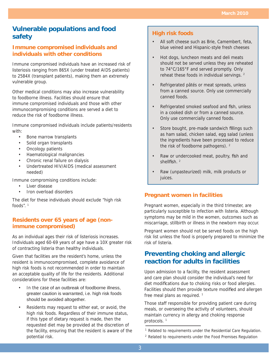## **Vulnerable populations and food safety**

#### **Immune compromised individuals and individuals with other conditions**

Immune compromised individuals have an increased risk of listeriosis ranging from 865X (under treated AIDS patients) to 2584X (transplant patients), making them an extremely vulnerable group.

Other medical conditions may also increase vulnerability to foodborne illness. Facilities should ensure that immune compromised individuals and those with other immunocompromising conditions are served a diet to reduce the risk of foodborne illness.

Immune compromised individuals include patients/residents with:

- Bone marrow transplants
- Solid organ transplants
- Oncology patients
- Haematological malignancies
- Chronic renal failure on dialysis
- Undertreated HIV/AIDS (medical assessment needed)

Immune compromising conditions include:

- Liver disease
- Iron overload disorders

The diet for these individuals should exclude "high risk foods".  $1$ 

#### **Residents over 65 years of age (nonimmune compromised)**

As an individual ages their risk of listeriosis increases. Individuals aged 60-69 years of age have a 10X greater risk of contracting listeria than healthy individuals.

Given that facilities are the resident's home, unless the resident is immunocompromised, complete avoidance of high risk foods is not recommended in order to maintain an acceptable quality of life for the residents. Additional considerations for these facilities are:

- In the case of an outbreak of foodborne illness. greater caution is warranted, i.e. high risk foods should be avoided altogether.
- Residents may request to either eat, or avoid, the high risk foods. Regardless of their immune status, if this type of dietary request is made, then the requested diet may be provided at the discretion of the facility, ensuring that the resident is aware of the potential risk.

#### **High risk foods**

- All soft cheese such as Brie, Camembert, feta, blue veined and Hispanic-style fresh cheeses
- Hot dogs, luncheon meats and deli meats should not be served unless they are reheated to 74°C/165°F and served promptly. Only reheat these foods in individual servings. 2
- Refrigerated pâtés or meat spreads, unless from a canned source. Only use commercially canned foods.
- Refrigerated smoked seafood and fish, unless in a cooked dish or from a canned source. Only use commercially canned foods.
- Store bought, pre-made sandwich fillings such as ham salad, chicken salad, egg salad (unless the ingredients have been processed to reduce the risk of foodborne pathogens). <sup>2</sup>
- Raw or undercooked meat, poultry, fish and shellfish.<sup>2</sup>
- Raw (unpasteurized) milk, milk products or juices.

#### **Pregnant women in facilities**

Pregnant women, especially in the third trimester, are particularly susceptible to infection with listeria. Although symptoms may be mild in the women, outcomes such as miscarriage, stillbirth or illness in the newborn may occur.

Pregnant women should not be served foods on the high risk list unless the food is properly prepared to minimize the risk of listeria.

## **Preventing choking and allergic reaction for adults in facilities**

Upon admission to a facility, the resident assessment and care plan should consider the individual's need for diet modifications due to choking risks or food allergies. Facilities should then provide texture modified and allergen free meal plans as required.<sup>1</sup>

Those staff responsible for providing patient care during meals, or overseeing the activity of volunteers, should maintain currency in allergy and choking response protocols.<sup>1</sup>

2 Related to requirements under the Food Premises Regulation

<sup>&</sup>lt;sup>1</sup> Related to requirements under the Residential Care Regulation.